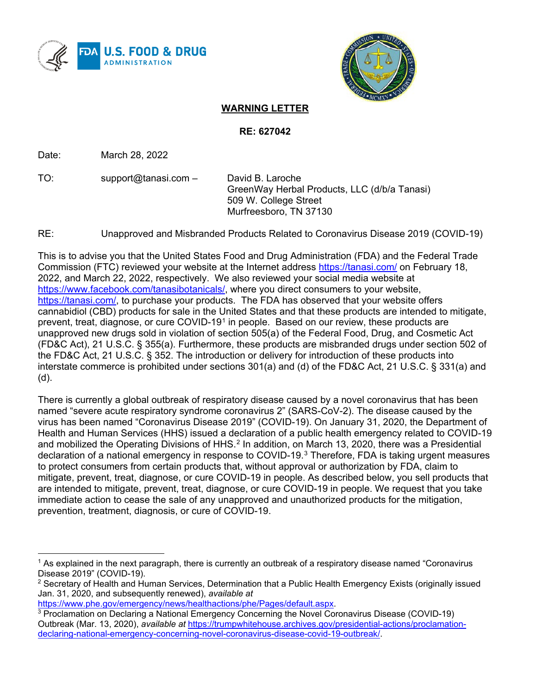



# **WARNING LETTER**

**RE: 627042**

Date: March 28, 2022

TO: support@tanasi.com – David B. Laroche

GreenWay Herbal Products, LLC (d/b/a Tanasi) 509 W. College Street Murfreesboro, TN 37130

RE: Unapproved and Misbranded Products Related to Coronavirus Disease 2019 (COVID-19)

This is to advise you that the United States Food and Drug Administration (FDA) and the Federal Trade Commission (FTC) reviewed your website at the Internet address<https://tanasi.com/> on February 18, 2022, and March 22, 2022, respectively. We also reviewed your social media website at [https://www.facebook.com/tanasibotanicals/,](https://www.facebook.com/tanasibotanicals/) where you direct consumers to your website, [https://tanasi.com/,](https://tanasi.com/) to purchase your products. The FDA has observed that your website offers cannabidiol (CBD) products for sale in the United States and that these products are intended to mitigate, prevent, treat, diagnose, or cure COVID-19[1](#page-0-0) in people. Based on our review, these products are unapproved new drugs sold in violation of section 505(a) of the Federal Food, Drug, and Cosmetic Act (FD&C Act), 21 U.S.C. § 355(a). Furthermore, these products are misbranded drugs under section 502 of the FD&C Act, 21 U.S.C. § 352. The introduction or delivery for introduction of these products into interstate commerce is prohibited under sections 301(a) and (d) of the FD&C Act, 21 U.S.C. § 331(a) and (d).

There is currently a global outbreak of respiratory disease caused by a novel coronavirus that has been named "severe acute respiratory syndrome coronavirus 2" (SARS-CoV-2). The disease caused by the virus has been named "Coronavirus Disease 2019" (COVID-19). On January 31, 2020, the Department of Health and Human Services (HHS) issued a declaration of a public health emergency related to COVID-19 and mobilized the Operating Divisions of HHS.<sup>[2](#page-0-1)</sup> In addition, on March 13, 2020, there was a Presidential declaration of a national emergency in response to COVID-19.[3](#page-0-2) Therefore, FDA is taking urgent measures to protect consumers from certain products that, without approval or authorization by FDA, claim to mitigate, prevent, treat, diagnose, or cure COVID-19 in people. As described below, you sell products that are intended to mitigate, prevent, treat, diagnose, or cure COVID-19 in people. We request that you take immediate action to cease the sale of any unapproved and unauthorized products for the mitigation, prevention, treatment, diagnosis, or cure of COVID-19.

```
https://www.phe.gov/emergency/news/healthactions/phe/Pages/default.aspx.
```
<span id="page-0-0"></span> $1$  As explained in the next paragraph, there is currently an outbreak of a respiratory disease named "Coronavirus Disease 2019" (COVID-19).

<span id="page-0-1"></span><sup>&</sup>lt;sup>2</sup> Secretary of Health and Human Services, Determination that a Public Health Emergency Exists (originally issued Jan. 31, 2020, and subsequently renewed), *available at*

<span id="page-0-2"></span><sup>3</sup> Proclamation on Declaring a National Emergency Concerning the Novel Coronavirus Disease (COVID-19) Outbreak (Mar. 13, 2020), *available at* [https://trumpwhitehouse.archives.gov/presidential-actions/proclamation](https://trumpwhitehouse.archives.gov/presidential-actions/proclamation-declaring-national-emergency-concerning-novel-coronavirus-disease-covid-19-outbreak/)[declaring-national-emergency-concerning-novel-coronavirus-disease-covid-19-outbreak/.](https://trumpwhitehouse.archives.gov/presidential-actions/proclamation-declaring-national-emergency-concerning-novel-coronavirus-disease-covid-19-outbreak/)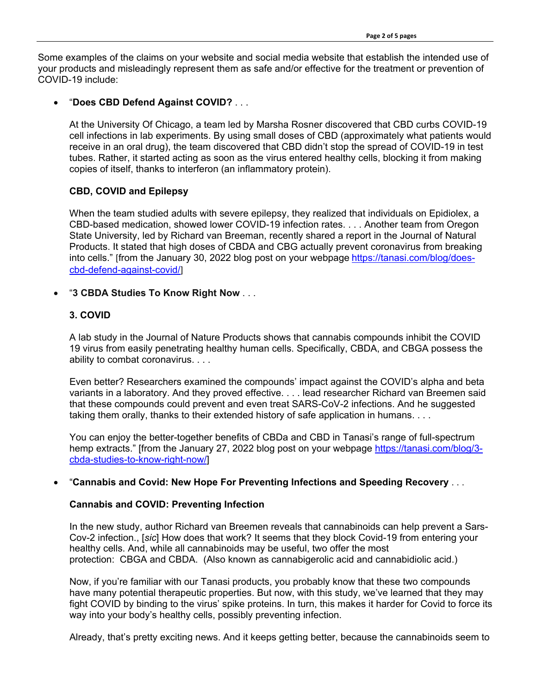Some examples of the claims on your website and social media website that establish the intended use of your products and misleadingly represent them as safe and/or effective for the treatment or prevention of COVID-19 include:

# • "**Does CBD Defend Against COVID?** . . .

At the [University Of Chicago,](https://www.uchicago.edu/) a team led by Marsha Rosner discovered that CBD curbs COVID-19 cell infections in lab experiments. By using small doses of CBD (approximately what patients would receive in an oral drug), the team discovered that CBD didn't stop the spread of COVID-19 in test tubes. Rather, it started acting as soon as the virus entered healthy cells, blocking it from making copies of itself, thanks to interferon (an inflammatory protein).

# **CBD, COVID and Epilepsy**

When the team studied adults with severe epilepsy, they realized that individuals on Epidiolex, a CBD-based medication, showed lower COVID-19 infection rates. . . . Another team from [Oregon](https://oregonstate.edu/)  [State University,](https://oregonstate.edu/) led by Richard van Breeman, recently shared a report in the Journal of Natural Products. It stated that high doses of CBDA and CBG actually prevent coronavirus from breaking into cells." [from the January 30, 2022 blog post on your webpage [https://tanasi.com/blog/does](https://tanasi.com/blog/does-cbd-defend-against-covid/)[cbd-defend-against-covid/](https://tanasi.com/blog/does-cbd-defend-against-covid/)]

# • "**3 CBDA Studies To Know Right Now** . . .

# **3. COVID**

A lab study in the Journal of Nature Products shows that [cannabis compounds inhibit the COVID](https://tanasi.com/blog/cannabis-and-covid-how-cannabinoids-could-prevent-infection/)  [19 virus](https://tanasi.com/blog/cannabis-and-covid-how-cannabinoids-could-prevent-infection/) from easily penetrating healthy human cells. Specifically, CBDA, and CBGA possess the ability to combat coronavirus. . . .

Even better? Researchers examined the compounds' impact against the COVID's alpha and beta variants in a laboratory. And they proved effective. . . . lead researcher Richard van Breemen said that these compounds could prevent and even treat SARS-CoV-2 infections. And he suggested taking them orally, thanks to their extended history of safe application in humans. . . .

You can enjoy the better-together benefits of CBDa and CBD in Tanasi's range of full-spectrum hemp extracts." [from the January 27, 2022 blog post on your webpage [https://tanasi.com/blog/3](https://tanasi.com/blog/3-cbda-studies-to-know-right-now/) [cbda-studies-to-know-right-now/\]](https://tanasi.com/blog/3-cbda-studies-to-know-right-now/)

### • "**Cannabis and Covid: New Hope For Preventing Infections and Speeding Recovery** . . .

### **Cannabis and COVID: Preventing Infection**

In the [new study,](https://pubs.acs.org/doi/10.1021/acs.jnatprod.1c00946) author Richard van Breemen reveals that cannabinoids can help prevent a Sars-Cov-2 infection., [*sic*] How does that work? It seems that they block Covid-19 from entering your healthy cells. And, while all cannabinoids may be useful, two offer the most protection: [CBGA](https://tanasi.com/blog/cbg-vs-cbga-definitions-benefits-and-products/) and [CBDA.](https://tanasi.com/blog/differences-between-cbd-and-cbda/) (Also known as cannabigerolic acid and cannabidiolic acid.)

Now, if you're familiar with our Tanasi products, you probably know that these two compounds have many potential therapeutic properties. But now, with this study, we've learned that they may fight COVID by binding to the virus' spike proteins. In turn, this makes it harder for Covid to force its way into your body's healthy cells, possibly preventing infection.

Already, that's pretty exciting news. And it keeps getting better, because the cannabinoids seem to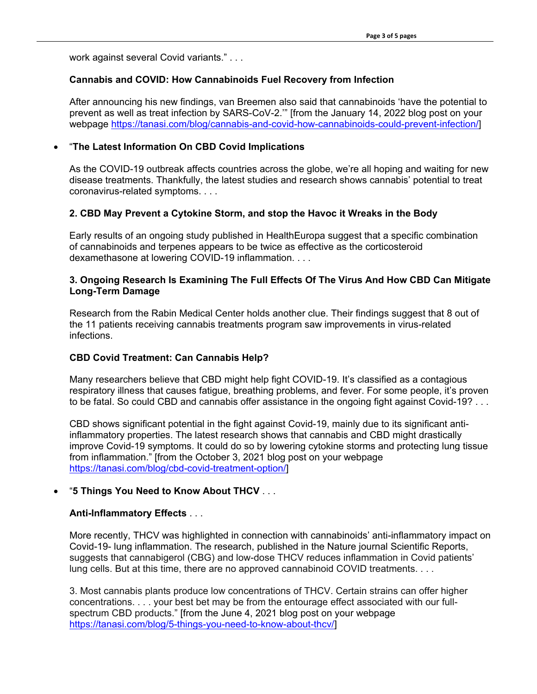work against several Covid variants." . . .

### **Cannabis and COVID: How Cannabinoids Fuel Recovery from Infection**

After announcing his new findings, van Breemen also said that cannabinoids 'have the potential to prevent as well as treat infection by SARS-CoV-2.'" [from the January 14, 2022 blog post on your webpage [https://tanasi.com/blog/cannabis-and-covid-how-cannabinoids-could-prevent-infection/\]](https://tanasi.com/blog/cannabis-and-covid-how-cannabinoids-could-prevent-infection/)

#### • "**The Latest Information On CBD Covid Implications**

As the COVID-19 outbreak affects countries across the globe, we're all hoping and waiting for new disease treatments. Thankfully, the latest studies and research shows cannabis' potential to treat coronavirus-related symptoms. . . .

### **2. CBD May Prevent a Cytokine Storm, and stop the Havoc it Wreaks in the Body**

Early results of an ongoing study published in [HealthEuropa](https://www.healtheuropa.eu/) suggest that a specific combination of [cannabinoids](https://tanasi.com/blog/what-is-a-cannabinoid/) and [terpenes](https://tanasi.com/blog/what-are-terpenes-used-for/) appears to be twice as effective as the corticosteroid dexamethasone at lowering COVID-19 inflammation. . . .

#### **3. Ongoing Research Is Examining The Full Effects Of The Virus And How CBD Can Mitigate Long-Term Damage**

Research from the [Rabin Medical Center](https://hospitals.clalit.co.il/rabin/en/Pages/default.aspx) holds another clue. Their findings suggest that 8 out of the 11 patients receiving cannabis treatments program saw improvements in virus-related infections.

### **CBD Covid Treatment: Can Cannabis Help?**

Many researchers believe that CBD might help fight COVID-19. It's classified as a contagious respiratory illness that causes fatigue, breathing problems, and fever. For some people, it's proven to be fatal. So could CBD and cannabis offer assistance in the ongoing fight against Covid-19? . . .

CBD shows significant potential in the fight against Covid-19, mainly due to its significant antiinflammatory properties. The latest research shows that cannabis and CBD might drastically improve Covid-19 symptoms. It could do so by lowering cytokine storms and protecting lung tissue from inflammation." [from the October 3, 2021 blog post on your webpage [https://tanasi.com/blog/cbd-covid-treatment-option/\]](https://tanasi.com/blog/cbd-covid-treatment-option/)

### • "**5 Things You Need to Know About THCV** . . .

#### **Anti-Inflammatory Effects** . . .

More recently, THCV was highlighted in connection with cannabinoids' anti-inflammatory impact on Covid-19- lung inflammation. The research, published in the Nature journal [Scientific Reports,](https://www.nature.com/srep/) suggests that cannabigerol (CBG) and low-dose THCV reduces inflammation in Covid patients' lung cells. But at this time, there are no approved cannabinoid COVID treatments. . . .

3. Most cannabis plants produce low concentrations of THCV. Certain strains can offer higher concentrations. . . . your best bet may be from the entourage effect associated with our fullspectrum CBD products." [from the June 4, 2021 blog post on your webpage [https://tanasi.com/blog/5-things-you-need-to-know-about-thcv/\]](https://tanasi.com/blog/5-things-you-need-to-know-about-thcv/)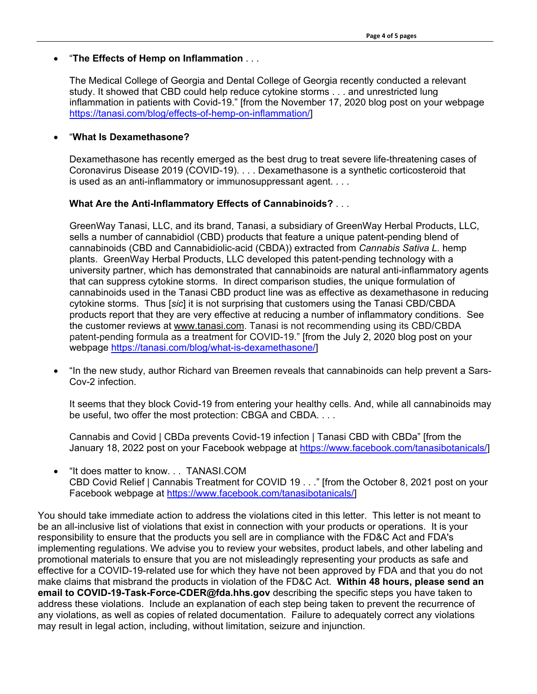#### • "**The Effects of Hemp on Inflammation** . . .

The Medical College of Georgia and Dental College of Georgia recently conducted a relevant study. It showed that CBD could help [reduce cytokine storms](https://www.liebertpub.com/doi/abs/10.1089/can.2020.0043) . . . and unrestricted lung inflammation in patients with Covid-19." [from the November 17, 2020 blog post on your webpage [https://tanasi.com/blog/effects-of-hemp-on-inflammation/\]](https://tanasi.com/blog/effects-of-hemp-on-inflammation/)

#### • "**What Is Dexamethasone?**

Dexamethasone has recently emerged as the best drug to treat severe life-threatening cases of Coronavirus Disease 2019 (COVID-19). . . . Dexamethasone is a synthetic corticosteroid that is used as an anti-inflammatory or immunosuppressant agent. . . .

#### **What Are the Anti-Inflammatory Effects of Cannabinoids?** . . .

GreenWay Tanasi, LLC, and its brand, Tanasi, a subsidiary of GreenWay Herbal Products, LLC, sells a number of cannabidiol (CBD) products that feature a unique patent-pending blend of cannabinoids (CBD and Cannabidiolic-acid (CBDA)) extracted from *Cannabis Sativa L.* hemp plants. GreenWay Herbal Products, LLC developed this [patent-pending technology](https://tanasi.com/tanasis-international-patent-on-cbd-research-files/) with a university partner, which has demonstrated that cannabinoids are natural anti-inflammatory agents that can suppress cytokine storms. In direct comparison studies, the unique formulation of cannabinoids used in the Tanasi CBD product line was as effective as dexamethasone in reducing cytokine storms. Thus [*sic*] it is not surprising that customers using the Tanasi CBD/CBDA products report that they are very effective at reducing a number of inflammatory conditions. See the customer reviews at [www.tanasi.com.](https://tanasi.com/) Tanasi is not recommending using its CBD/CBDA patent-pending formula as a treatment for COVID-19." [from the July 2, 2020 blog post on your webpage [https://tanasi.com/blog/what-is-dexamethasone/\]](https://tanasi.com/blog/what-is-dexamethasone/)

• "In the new study, author Richard van Breemen reveals that cannabinoids can help prevent a Sars-Cov-2 infection.

It seems that they block Covid-19 from entering your healthy cells. And, while all cannabinoids may be useful, two offer the most protection: CBGA and CBDA. . . .

Cannabis and Covid | CBDa prevents Covid-19 infection | Tanasi CBD with CBDa" [from the January 18, 2022 post on your Facebook webpage at [https://www.facebook.com/tanasibotanicals/\]](https://www.facebook.com/tanasibotanicals/)

• "It does matter to know. . . TANASI.COM CBD Covid Relief | Cannabis Treatment for COVID 19 . . ." [from the October 8, 2021 post on your Facebook webpage at [https://www.facebook.com/tanasibotanicals/\]](https://www.facebook.com/tanasibotanicals/)

You should take immediate action to address the violations cited in this letter. This letter is not meant to be an all-inclusive list of violations that exist in connection with your products or operations. It is your responsibility to ensure that the products you sell are in compliance with the FD&C Act and FDA's implementing regulations. We advise you to review your websites, product labels, and other labeling and promotional materials to ensure that you are not misleadingly representing your products as safe and effective for a COVID-19-related use for which they have not been approved by FDA and that you do not make claims that misbrand the products in violation of the FD&C Act. **Within 48 hours, please send an email to COVID-19-Task-Force-CDER@fda.hhs.gov** describing the specific steps you have taken to address these violations. Include an explanation of each step being taken to prevent the recurrence of any violations, as well as copies of related documentation. Failure to adequately correct any violations may result in legal action, including, without limitation, seizure and injunction.